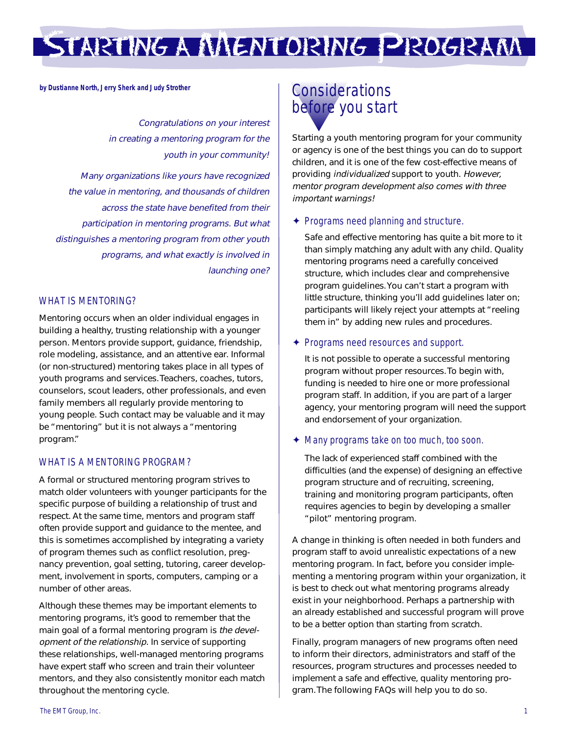## STARTING <sup>A</sup> MENTORING PROGRAM

**by Dustianne North, Jerry Sherk and Judy Strother**

Congratulations on your interest in creating a mentoring program for the youth in your community! Many organizations like yours have recognized the value in mentoring, and thousands of children across the state have benefited from their participation in mentoring programs. But what distinguishes a mentoring program from other youth programs, and what exactly is involved in launching one?

#### WHAT IS MENTORING?

Mentoring occurs when an older individual engages in building a healthy, trusting relationship with a younger person. Mentors provide support, guidance, friendship, role modeling, assistance, and an attentive ear. Informal (or non-structured) mentoring takes place in all types of youth programs and services. Teachers, coaches, tutors, counselors, scout leaders, other professionals, and even family members all regularly provide mentoring to young people. Such contact may be valuable and it may be "mentoring" but it is not always a "mentoring program."

#### WHAT IS A MENTORING PROGRAM?

A formal or structured mentoring program strives to match older volunteers with younger participants for the specific purpose of building a relationship of trust and respect. At the same time, mentors and program staff often provide support and guidance to the mentee, and this is sometimes accomplished by integrating a variety of program themes such as conflict resolution, pregnancy prevention, goal setting, tutoring, career development, involvement in sports, computers, camping or a number of other areas.

Although these themes may be important elements to mentoring programs, it's good to remember that the main goal of a formal mentoring program is the development of the relationship. In service of supporting these relationships, well-managed mentoring programs have expert staff who screen and train their volunteer mentors, and they also consistently monitor each match throughout the mentoring cycle.

### **Considerations** before you start

Starting a youth mentoring program for your community or agency is one of the best things you can do to support children, and it is one of the few cost-effective means of providing individualized support to youth. However, mentor program development also comes with three important warnings!

#### ✦ Programs need planning and structure.

Safe and effective mentoring has quite a bit more to it than simply matching any adult with any child. Quality mentoring programs need a carefully conceived structure, which includes clear and comprehensive program guidelines. You can't start a program with little structure, thinking you'll add guidelines later on; participants will likely reject your attempts at "reeling them in" by adding new rules and procedures.

#### ✦ Programs need resources and support.

It is not possible to operate a successful mentoring program without proper resources. To begin with, funding is needed to hire one or more professional program staff. In addition, if you are part of a larger agency, your mentoring program will need the support and endorsement of your organization.

#### ✦ Many programs take on too much, too soon.

The lack of experienced staff combined with the difficulties (and the expense) of designing an effective program structure and of recruiting, screening, training and monitoring program participants, often requires agencies to begin by developing a smaller "pilot" mentoring program.

A change in thinking is often needed in both funders and program staff to avoid unrealistic expectations of a new mentoring program. In fact, before you consider implementing a mentoring program within your organization, it is best to check out what mentoring programs already exist in your neighborhood. Perhaps a partnership with an already established and successful program will prove to be a better option than starting from scratch.

Finally, program managers of new programs often need to inform their directors, administrators and staff of the resources, program structures and processes needed to implement a safe and effective, quality mentoring program. The following FAQs will help you to do so.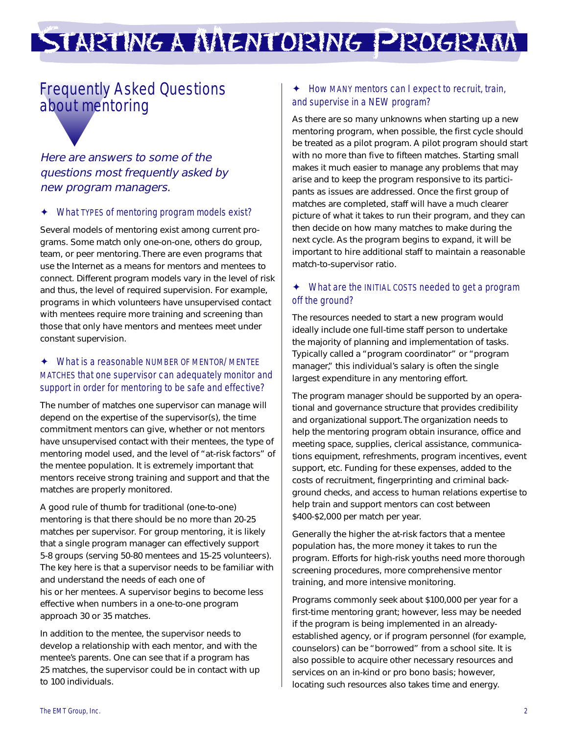# STARTING <sup>A</sup> MENTORING PROGRAM

### Frequently Asked Questions about mentoring

#### Here are answers to some of the questions most frequently asked by new program managers.

#### ✦ What TYPES of mentoring program models exist?

Several models of mentoring exist among current programs. Some match only one-on-one, others do group, team, or peer mentoring. There are even programs that use the Internet as a means for mentors and mentees to connect. Different program models vary in the level of risk and thus, the level of required supervision. For example, programs in which volunteers have unsupervised contact with mentees require more training and screening than those that only have mentors and mentees meet under constant supervision.

#### ✦ What is a reasonable NUMBER OF MENTOR/ MENTEE MATCHES that one supervisor can adequately monitor and support in order for mentoring to be safe and effective?

The number of matches one supervisor can manage will depend on the expertise of the supervisor(s), the time commitment mentors can give, whether or not mentors have unsupervised contact with their mentees, the type of mentoring model used, and the level of "at-risk factors" of the mentee population. It is extremely important that mentors receive strong training and support and that the matches are properly monitored.

A good rule of thumb for traditional (one-to-one) mentoring is that there should be no more than 20-25 matches per supervisor. For group mentoring, it is likely that a single program manager can effectively support 5-8 groups (serving 50-80 mentees and 15-25 volunteers). The key here is that a supervisor needs to be familiar with and understand the needs of each one of his or her mentees. A supervisor begins to become less effective when numbers in a one-to-one program approach 30 or 35 matches.

In addition to the mentee, the supervisor needs to develop a relationship with each mentor, and with the mentee's parents. One can see that if a program has 25 matches, the supervisor could be in contact with up to 100 individuals.

#### ✦ How MANY mentors can I expect to recruit, train, and supervise in a NEW program?

As there are so many unknowns when starting up a new mentoring program, when possible, the first cycle should be treated as a pilot program. A pilot program should start with no more than five to fifteen matches. Starting small makes it much easier to manage any problems that may arise and to keep the program responsive to its participants as issues are addressed. Once the first group of matches are completed, staff will have a much clearer picture of what it takes to run their program, and they can then decide on how many matches to make during the next cycle. As the program begins to expand, it will be important to hire additional staff to maintain a reasonable match-to-supervisor ratio.

#### ✦ What are the INITIAL COSTS needed to get a program off the ground?

The resources needed to start a new program would ideally include one full-time staff person to undertake the majority of planning and implementation of tasks. Typically called a "program coordinator" or "program manager," this individual's salary is often the single largest expenditure in any mentoring effort.

The program manager should be supported by an operational and governance structure that provides credibility and organizational support. The organization needs to help the mentoring program obtain insurance, office and meeting space, supplies, clerical assistance, communications equipment, refreshments, program incentives, event support, etc. Funding for these expenses, added to the costs of recruitment, fingerprinting and criminal background checks, and access to human relations expertise to help train and support mentors can cost between \$400-\$2,000 per match per year.

Generally the higher the at-risk factors that a mentee population has, the more money it takes to run the program. Efforts for high-risk youths need more thorough screening procedures, more comprehensive mentor training, and more intensive monitoring.

Programs commonly seek about \$100,000 per year for a first-time mentoring grant; however, less may be needed if the program is being implemented in an alreadyestablished agency, or if program personnel (for example, counselors) can be "borrowed" from a school site. It is also possible to acquire other necessary resources and services on an in-kind or pro bono basis; however, locating such resources also takes time and energy.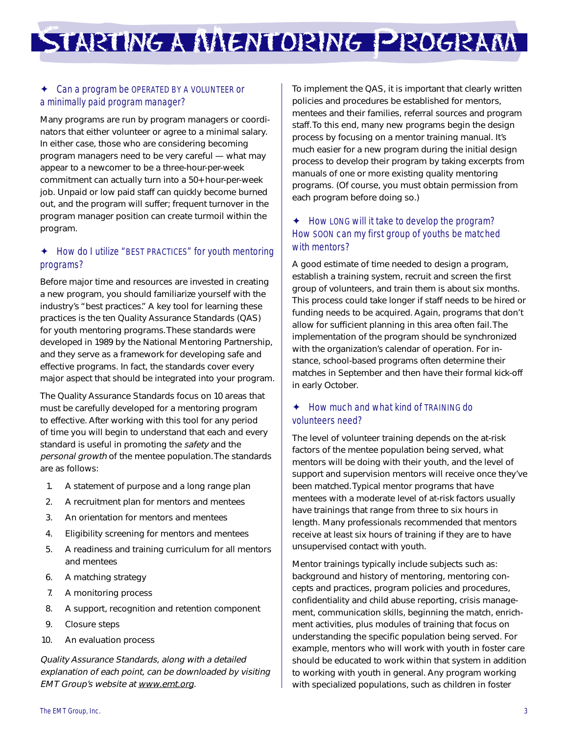STARTING <sup>A</sup> MENTORING PROGRAM

#### ✦ Can a program be OPERATED BY A VOLUNTEER or a minimally paid program manager?

Many programs are run by program managers or coordinators that either volunteer or agree to a minimal salary. In either case, those who are considering becoming program managers need to be very careful — what may appear to a newcomer to be a three-hour-per-week commitment can actually turn into a 50+ hour-per-week job. Unpaid or low paid staff can quickly become burned out, and the program will suffer; frequent turnover in the program manager position can create turmoil within the program.

#### ✦ How do I utilize "BEST PRACTICES" for youth mentoring programs?

Before major time and resources are invested in creating a new program, you should familiarize yourself with the industry's "best practices." A key tool for learning these practices is the ten Quality Assurance Standards (QAS) for youth mentoring programs. These standards were developed in 1989 by the National Mentoring Partnership, and they serve as a framework for developing safe and effective programs. In fact, the standards cover every major aspect that should be integrated into your program.

The Quality Assurance Standards focus on 10 areas that must be carefully developed for a mentoring program to effective. After working with this tool for any period of time you will begin to understand that each and every standard is useful in promoting the safety and the personal growth of the mentee population. The standards are as follows:

- 1. A statement of purpose and a long range plan
- 2. A recruitment plan for mentors and mentees
- 3. An orientation for mentors and mentees
- 4. Eligibility screening for mentors and mentees
- 5. A readiness and training curriculum for all mentors and mentees
- 6. A matching strategy
- 7. A monitoring process
- 8. A support, recognition and retention component
- 9. Closure steps
- 10. An evaluation process

Quality Assurance Standards, along with a detailed explanation of each point, can be downloaded by visiting EMT Group's website at www.emt.org.

To implement the QAS, it is important that clearly written policies and procedures be established for mentors, mentees and their families, referral sources and program staff. To this end, many new programs begin the design process by focusing on a mentor training manual. It's much easier for a new program during the initial design process to develop their program by taking excerpts from manuals of one or more existing quality mentoring programs. (Of course, you must obtain permission from each program before doing so.)

#### ✦ How LONG will it take to develop the program? How SOON can my first group of youths be matched with mentors?

A good estimate of time needed to design a program, establish a training system, recruit and screen the first group of volunteers, and train them is about six months. This process could take longer if staff needs to be hired or funding needs to be acquired. Again, programs that don't allow for sufficient planning in this area often fail. The implementation of the program should be synchronized with the organization's calendar of operation. For instance, school-based programs often determine their matches in September and then have their formal kick-off in early October.

#### ✦ How much and what kind of TRAINING do volunteers need?

The level of volunteer training depends on the at-risk factors of the mentee population being served, what mentors will be doing with their youth, and the level of support and supervision mentors will receive once they've been matched. Typical mentor programs that have mentees with a moderate level of at-risk factors usually have trainings that range from three to six hours in length. Many professionals recommended that mentors receive at least six hours of training if they are to have unsupervised contact with youth.

Mentor trainings typically include subjects such as: background and history of mentoring, mentoring concepts and practices, program policies and procedures, confidentiality and child abuse reporting, crisis management, communication skills, beginning the match, enrichment activities, plus modules of training that focus on understanding the specific population being served. For example, mentors who will work with youth in foster care should be educated to work within that system in addition to working with youth in general. Any program working with specialized populations, such as children in foster